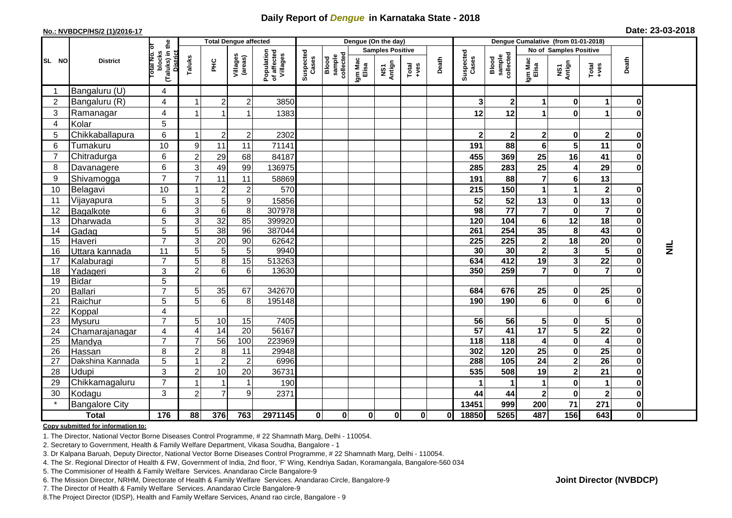## **Daily Report of** *Dengue* **in Karnataka State - 2018**

#### **No.: NVBDCP/HS/2 (1)/2016-17**

| Date: 23-03-2018 |  |  |  |
|------------------|--|--|--|
|------------------|--|--|--|

| <b>Total Dengue affected</b> |                            |                                                           |                |                       |                     | Dengue (On the day)                   |                    |                              |                  |                         |              |       | Dengue Cumalative (from 01-01-2018) |                              |                  |                          |                         |                          |                 |
|------------------------------|----------------------------|-----------------------------------------------------------|----------------|-----------------------|---------------------|---------------------------------------|--------------------|------------------------------|------------------|-------------------------|--------------|-------|-------------------------------------|------------------------------|------------------|--------------------------|-------------------------|--------------------------|-----------------|
|                              |                            | ľб                                                        |                |                       |                     |                                       |                    |                              |                  | <b>Samples Positive</b> |              |       |                                     |                              |                  | No of Samples Positive   |                         |                          |                 |
| SL NO                        | <b>District</b>            | (Taluks) in the<br>blocks<br>Total No.<br><b>District</b> | Taluks         | E                     | Villages<br>(areas) | Population<br>of affected<br>Villages | Suspected<br>Cases | collected<br>sample<br>Blood | Igm Mac<br>Elisa | NS1<br>Antign           | $Total$      | Death | Suspected<br>Cases                  | Blood<br>sample<br>collected | Igm Mac<br>Elisa | NS1<br>Antign            | Total<br>+ves           | Death                    |                 |
|                              | Bangaluru (U)              | 4                                                         |                |                       |                     |                                       |                    |                              |                  |                         |              |       |                                     |                              |                  |                          |                         |                          |                 |
| 2                            | Bangaluru (R)              | 4                                                         | 1              | $\overline{2}$        | $\overline{2}$      | 3850                                  |                    |                              |                  |                         |              |       | 3                                   | $\boldsymbol{2}$             | 1                | $\bf{0}$                 | 1                       | 0                        |                 |
| 3                            | Ramanagar                  | 4                                                         |                |                       |                     | 1383                                  |                    |                              |                  |                         |              |       | 12                                  | 12                           |                  | $\bf{0}$                 | 1                       |                          |                 |
| 4                            | Kolar                      | 5                                                         |                |                       |                     |                                       |                    |                              |                  |                         |              |       |                                     |                              |                  |                          |                         |                          |                 |
| 5                            | Chikkaballapura            | 6                                                         |                | $\overline{c}$        | $\overline{c}$      | 2302                                  |                    |                              |                  |                         |              |       | $\mathbf{2}$                        | $\mathbf{2}$                 | $\mathbf{2}$     | $\mathbf{0}$             | $\mathbf 2$             | 0                        |                 |
| 6                            | Tumakuru                   | 10                                                        | 9              | 11                    | 11                  | 71141                                 |                    |                              |                  |                         |              |       | 191                                 | 88                           | 6                | 5                        | 11                      | 0                        |                 |
| $\overline{7}$               | Chitradurga                | 6                                                         | 2              | 29                    | 68                  | 84187                                 |                    |                              |                  |                         |              |       | 455                                 | 369                          | 25               | 16                       | 41                      | $\bf{0}$                 |                 |
| 8                            | Davanagere                 | 6                                                         | 3              | 49                    | 99                  | 136975                                |                    |                              |                  |                         |              |       | 285                                 | 283                          | 25               |                          | 29                      | O                        |                 |
| 9                            | Shivamogga                 | $\overline{7}$                                            |                | 11                    | 11                  | 58869                                 |                    |                              |                  |                         |              |       | 191                                 | 88                           | $\overline{7}$   | 6                        | 13                      |                          |                 |
| 10                           | Belagavi                   | 10                                                        |                | $\overline{2}$        | $\overline{2}$      | 570                                   |                    |                              |                  |                         |              |       | 215                                 | 150                          | 1                |                          | $\overline{\mathbf{2}}$ | 0                        |                 |
| 11                           | Vijayapura                 | 5                                                         | 3              | 5                     | 9                   | 15856                                 |                    |                              |                  |                         |              |       | 52                                  | 52                           | 13               | $\bf{0}$                 | 13                      | $\mathbf 0$              |                 |
| 12                           | Bagalkote                  | 6                                                         | 3              | 6                     | 8                   | 307978                                |                    |                              |                  |                         |              |       | 98                                  | $\overline{77}$              | $\overline{7}$   | $\bf{0}$                 | $\overline{7}$          | $\mathbf 0$              |                 |
| 13                           | Dharwada                   | $\overline{5}$                                            | $\overline{3}$ | 32                    | 85                  | 399920                                |                    |                              |                  |                         |              |       | 120                                 | 104                          | $6\phantom{1}$   | 12                       | $\overline{18}$         | $\mathbf 0$              |                 |
| 14                           | Gadag                      | 5                                                         | 5 <sub>5</sub> | 38                    | 96                  | 387044                                |                    |                              |                  |                         |              |       | 261                                 | 254                          | 35               | 8                        | 43                      | $\mathbf 0$              |                 |
| 15                           | Haveri                     | $\overline{7}$                                            | 3              | $\overline{20}$       | 90                  | 62642                                 |                    |                              |                  |                         |              |       | 225                                 | $\overline{225}$             | $\mathbf{2}$     | 18                       | $\overline{20}$         | $\pmb{0}$                |                 |
| 16                           | Uttara kannada             | 11                                                        | 51             | 5                     | 5                   | 9940                                  |                    |                              |                  |                         |              |       | 30                                  | 30                           | 2 <sub>1</sub>   | 3                        | $5\phantom{.0}$         | $\mathbf 0$              | $\vec{\bar{z}}$ |
| 17                           | Kalaburagi                 | $\overline{7}$                                            | 5              | 8                     | 15                  | 513263                                |                    |                              |                  |                         |              |       | 634                                 | 412                          | 19               | 3                        | $\overline{22}$         | $\mathbf 0$              |                 |
| 18                           | Yadageri                   | 3                                                         | $\overline{2}$ | 6                     | $6\phantom{1}6$     | 13630                                 |                    |                              |                  |                         |              |       | 350                                 | 259                          | $\overline{7}$   | $\mathbf{0}$             | $\overline{7}$          | $\bf{0}$                 |                 |
| 19                           | <b>Bidar</b>               | $\overline{5}$                                            |                |                       |                     |                                       |                    |                              |                  |                         |              |       |                                     |                              |                  |                          |                         |                          |                 |
| 20                           | Ballari                    | $\overline{7}$                                            | 5 <sub>l</sub> | 35                    | 67                  | 342670                                |                    |                              |                  |                         |              |       | 684                                 | 676                          | 25               | $\mathbf 0$              | 25                      | 0                        |                 |
| 21                           | Raichur                    | $\overline{5}$                                            | 5              | $6\phantom{1}$        | 8                   | 195148                                |                    |                              |                  |                         |              |       | 190                                 | 190                          | 6                | $\mathbf{0}$             | 6                       | O                        |                 |
| 22                           | Koppal                     | 4                                                         |                |                       |                     |                                       |                    |                              |                  |                         |              |       |                                     |                              |                  |                          |                         |                          |                 |
| 23                           | <b>Mysuru</b>              | $\overline{7}$                                            | 5 <sub>l</sub> | 10                    | 15                  | 7405                                  |                    |                              |                  |                         |              |       | 56                                  | 56                           | 5 <sup>1</sup>   | $\mathbf 0$              | $\sqrt{5}$              | $\mathbf 0$              |                 |
| 24                           | Chamarajanagar             | 4<br>$\overline{7}$                                       | 4<br>7         | $\overline{14}$<br>56 | 20                  | 56167                                 |                    |                              |                  |                         |              |       | $\overline{57}$<br>118              | 41<br>118                    | 17               | 5                        | $\overline{22}$         | $\pmb{0}$<br>$\mathbf 0$ |                 |
| 25<br>26                     | Mandya                     | 8                                                         | 2 <sup>1</sup> | 8                     | 100<br>11           | 223969<br>29948                       |                    |                              |                  |                         |              |       | 302                                 | 120                          | 4<br>25          | $\mathbf{0}$<br>$\bf{0}$ | 4<br>25                 | $\overline{\mathbf{o}}$  |                 |
| 27                           | Hassan<br>Dakshina Kannada | $\overline{5}$                                            | $\overline{1}$ | $\overline{2}$        | $\overline{2}$      | 6996                                  |                    |                              |                  |                         |              |       | 288                                 | 105                          | 24               | $\mathbf 2$              | $\overline{26}$         | $\overline{\mathbf{o}}$  |                 |
| 28                           | Udupi                      | 3                                                         | $\overline{2}$ | 10                    | 20                  | 36731                                 |                    |                              |                  |                         |              |       | 535                                 | 508                          | 19               | $\mathbf 2$              | 21                      | $\mathbf 0$              |                 |
| 29                           | Chikkamagaluru             | $\overline{7}$                                            |                |                       |                     | 190                                   |                    |                              |                  |                         |              |       |                                     |                              | 1                | $\mathbf{0}$             | 1                       | 0                        |                 |
| 30                           | Kodagu                     | 3                                                         | $\overline{2}$ |                       | 9                   | 2371                                  |                    |                              |                  |                         |              |       | 44                                  | 44                           | $\overline{2}$   | $\mathbf{0}$             | $\mathbf 2$             | $\mathbf 0$              |                 |
|                              | <b>Bangalore City</b>      |                                                           |                |                       |                     |                                       |                    |                              |                  |                         |              |       | 13451                               | 999                          | 200              | 71                       | 271                     | $\mathbf{0}$             |                 |
|                              |                            | 176                                                       |                |                       |                     |                                       |                    |                              |                  |                         |              |       |                                     | 5265                         | 487              | 156                      | 643                     | $\mathbf{0}$             |                 |
|                              | <b>Total</b>               |                                                           | 88             | 376                   | 763                 | 2971145                               | 0                  | 0                            | 0                | 0                       | $\mathbf{0}$ | 0     | 18850                               |                              |                  |                          |                         |                          |                 |

#### **Copy submitted for information to:**

1. The Director, National Vector Borne Diseases Control Programme, # 22 Shamnath Marg, Delhi - 110054.

2. Secretary to Government, Health & Family Welfare Department, Vikasa Soudha, Bangalore - 1

3. Dr Kalpana Baruah, Deputy Director, National Vector Borne Diseases Control Programme, # 22 Shamnath Marg, Delhi - 110054.

- 4. The Sr. Regional Director of Health & FW, Government of India, 2nd floor, 'F' Wing, Kendriya Sadan, Koramangala, Bangalore-560 034
- 5. The Commisioner of Health & Family Welfare Services. Anandarao Circle Bangalore-9
- 6. The Mission Director, NRHM, Directorate of Health & Family Welfare Services. Anandarao Circle, Bangalore-9

7. The Director of Health & Family Welfare Services. Anandarao Circle Bangalore-9

8. The Project Director (IDSP), Health and Family Welfare Services, Anand rao circle, Bangalore - 9